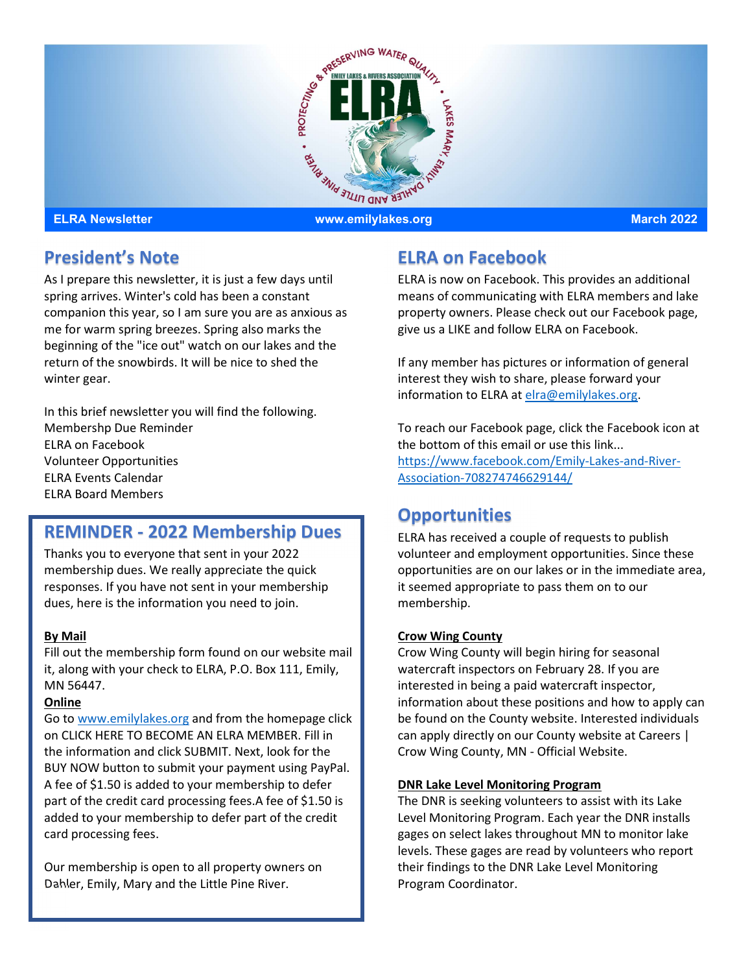

## President's Note

As I prepare this newsletter, it is just a few days until spring arrives. Winter's cold has been a constant companion this year, so I am sure you are as anxious as me for warm spring breezes. Spring also marks the beginning of the "ice out" watch on our lakes and the return of the snowbirds. It will be nice to shed the winter gear.

In this brief newsletter you will find the following. Membershp Due Reminder ELRA on Facebook Volunteer Opportunities ELRA Events Calendar ELRA Board Members

# REMINDER - 2022 Membership Dues

Thanks you to everyone that sent in your 2022 membership dues. We really appreciate the quick responses. If you have not sent in your membership dues, here is the information you need to join.

### By Mail

Fill out the membership form found on our website mail it, along with your check to ELRA, P.O. Box 111, Emily, MN 56447.

#### Online

Go to www.emilylakes.org and from the homepage click on CLICK HERE TO BECOME AN ELRA MEMBER. Fill in the information and click SUBMIT. Next, look for the BUY NOW button to submit your payment using PayPal. A fee of \$1.50 is added to your membership to defer part of the credit card processing fees.A fee of \$1.50 is added to your membership to defer part of the credit card processing fees.

Our membership is open to all property owners on Dahler, Emily, Mary and the Little Pine River.

# ELRA on Facebook

ELRA is now on Facebook. This provides an additional means of communicating with ELRA members and lake property owners. Please check out our Facebook page, give us a LIKE and follow ELRA on Facebook.

If any member has pictures or information of general interest they wish to share, please forward your information to ELRA at elra@emilylakes.org.

To reach our Facebook page, click the Facebook icon at the bottom of this email or use this link... https://www.facebook.com/Emily-Lakes-and-River-Association-708274746629144/

## **Opportunities**

ELRA has received a couple of requests to publish volunteer and employment opportunities. Since these opportunities are on our lakes or in the immediate area, it seemed appropriate to pass them on to our membership.

### Crow Wing County

Crow Wing County will begin hiring for seasonal watercraft inspectors on February 28. If you are interested in being a paid watercraft inspector, information about these positions and how to apply can be found on the County website. Interested individuals can apply directly on our County website at Careers | Crow Wing County, MN - Official Website.

#### DNR Lake Level Monitoring Program

The DNR is seeking volunteers to assist with its Lake Level Monitoring Program. Each year the DNR installs gages on select lakes throughout MN to monitor lake levels. These gages are read by volunteers who report their findings to the DNR Lake Level Monitoring Program Coordinator.